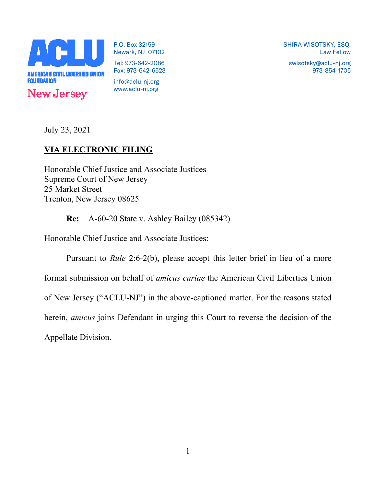

P.O. Box 32159 Newark, NJ 07102 Tel: 973-642-2086 Fax: 973-642-6523

info@aclu-nj.org www.aclu-nj.org SHIRA WISOTSKY, ESQ. Law Fellow

swisotsky@aclu-nj.org 973-854-1705

July 23, 2021

# **VIA ELECTRONIC FILING**

Honorable Chief Justice and Associate Justices Supreme Court of New Jersey 25 Market Street Trenton, New Jersey 08625

**Re:** A-60-20 State v. Ashley Bailey (085342)

Honorable Chief Justice and Associate Justices:

Pursuant to *Rule* 2:6-2(b), please accept this letter brief in lieu of a more formal submission on behalf of *amicus curiae* the American Civil Liberties Union of New Jersey ("ACLU-NJ") in the above-captioned matter. For the reasons stated herein, *amicus* joins Defendant in urging this Court to reverse the decision of the Appellate Division.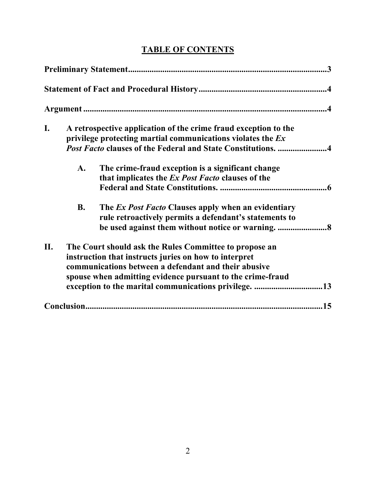| I. | A retrospective application of the crime fraud exception to the |                                                                     |
|----|-----------------------------------------------------------------|---------------------------------------------------------------------|
|    | privilege protecting martial communications violates the Ex     |                                                                     |
|    |                                                                 | <i>Post Facto</i> clauses of the Federal and State Constitutions. 4 |
|    | $\mathbf{A}$ .                                                  | The crime-fraud exception is a significant change                   |
|    |                                                                 | that implicates the Ex Post Facto clauses of the                    |
|    |                                                                 |                                                                     |
|    | <b>B.</b>                                                       | The Ex Post Facto Clauses apply when an evidentiary                 |
|    |                                                                 | rule retroactively permits a defendant's statements to              |
|    |                                                                 |                                                                     |
| П. | The Court should ask the Rules Committee to propose an          |                                                                     |
|    | instruction that instructs juries on how to interpret           |                                                                     |
|    | communications between a defendant and their abusive            |                                                                     |
|    | spouse when admitting evidence pursuant to the crime-fraud      |                                                                     |
|    |                                                                 |                                                                     |
|    |                                                                 |                                                                     |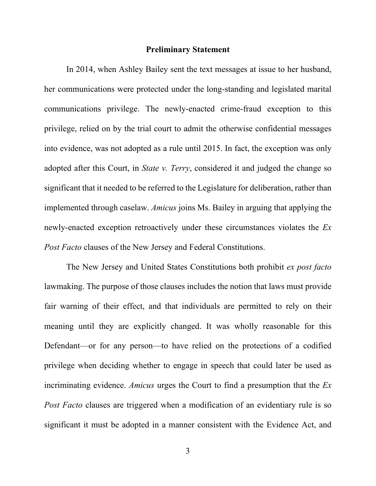#### **Preliminary Statement**

In 2014, when Ashley Bailey sent the text messages at issue to her husband, her communications were protected under the long-standing and legislated marital communications privilege. The newly-enacted crime-fraud exception to this privilege, relied on by the trial court to admit the otherwise confidential messages into evidence, was not adopted as a rule until 2015. In fact, the exception was only adopted after this Court, in *State v. Terry*, considered it and judged the change so significant that it needed to be referred to the Legislature for deliberation, rather than implemented through caselaw. *Amicus* joins Ms. Bailey in arguing that applying the newly-enacted exception retroactively under these circumstances violates the *Ex Post Facto* clauses of the New Jersey and Federal Constitutions.

The New Jersey and United States Constitutions both prohibit *ex post facto*  lawmaking. The purpose of those clauses includes the notion that laws must provide fair warning of their effect, and that individuals are permitted to rely on their meaning until they are explicitly changed. It was wholly reasonable for this Defendant—or for any person—to have relied on the protections of a codified privilege when deciding whether to engage in speech that could later be used as incriminating evidence. *Amicus* urges the Court to find a presumption that the *Ex Post Facto* clauses are triggered when a modification of an evidentiary rule is so significant it must be adopted in a manner consistent with the Evidence Act, and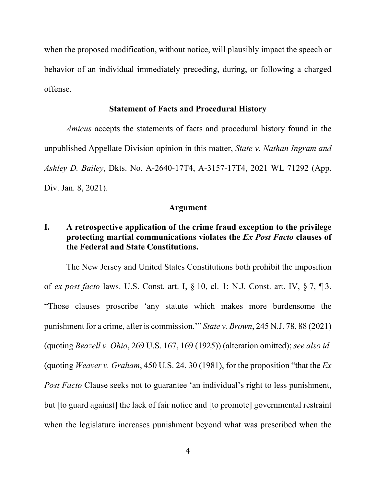when the proposed modification, without notice, will plausibly impact the speech or behavior of an individual immediately preceding, during, or following a charged offense.

#### **Statement of Facts and Procedural History**

*Amicus* accepts the statements of facts and procedural history found in the unpublished Appellate Division opinion in this matter, *State v. Nathan Ingram and Ashley D. Bailey*, Dkts. No. A-2640-17T4, A-3157-17T4, 2021 WL 71292 (App. Div. Jan. 8, 2021).

#### **Argument**

# **I. A retrospective application of the crime fraud exception to the privilege protecting martial communications violates the** *Ex Post Facto* **clauses of the Federal and State Constitutions.**

The New Jersey and United States Constitutions both prohibit the imposition of *ex post facto* laws. U.S. Const. art. I, § 10, cl. 1; N.J. Const. art. IV, § 7, ¶ 3. "Those clauses proscribe 'any statute which makes more burdensome the punishment for a crime, after is commission.'" *State v. Brown*, 245 N.J. 78, 88 (2021) (quoting *Beazell v. Ohio*, 269 U.S. 167, 169 (1925)) (alteration omitted); *see also id.* (quoting *Weaver v. Graham*, 450 U.S. 24, 30 (1981), for the proposition "that the *Ex Post Facto* Clause seeks not to guarantee 'an individual's right to less punishment, but [to guard against] the lack of fair notice and [to promote] governmental restraint when the legislature increases punishment beyond what was prescribed when the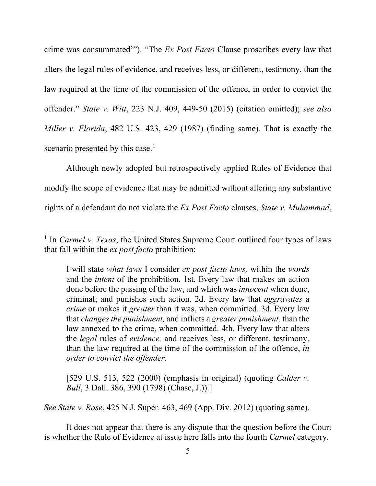crime was consummated'"). "The *Ex Post Facto* Clause proscribes every law that alters the legal rules of evidence, and receives less, or different, testimony, than the law required at the time of the commission of the offence, in order to convict the offender." *State v. Witt*, 223 N.J. 409, 449-50 (2015) (citation omitted); *see also Miller v. Florida*, 482 U.S. 423, 429 (1987) (finding same). That is exactly the scenario presented by this case.<sup>[1](#page-4-0)</sup>

Although newly adopted but retrospectively applied Rules of Evidence that modify the scope of evidence that may be admitted without altering any substantive rights of a defendant do not violate the *Ex Post Facto* clauses, *State v. Muhammad*,

[529 U.S. 513, 522 (2000) (emphasis in original) (quoting *Calder v. Bull*, 3 Dall. 386, 390 (1798) (Chase, J.)).]

*See State v. Rose*, 425 N.J. Super. 463, 469 (App. Div. 2012) (quoting same).

It does not appear that there is any dispute that the question before the Court is whether the Rule of Evidence at issue here falls into the fourth *Carmel* category.

<span id="page-4-0"></span><sup>&</sup>lt;sup>1</sup> In *Carmel v. Texas*, the United States Supreme Court outlined four types of laws that fall within the *ex post facto* prohibition:

I will state *what laws* I consider *ex post facto laws,* within the *words* and the *intent* of the prohibition. 1st. Every law that makes an action done before the passing of the law, and which was *innocent* when done, criminal; and punishes such action. 2d. Every law that *aggravates* a *crime* or makes it *greater* than it was, when committed. 3d. Every law that *changes the punishment,* and inflicts a *greater punishment,* than the law annexed to the crime, when committed. 4th. Every law that alters the *legal* rules of *evidence,* and receives less, or different, testimony, than the law required at the time of the commission of the offence, *in order to convict the offender.*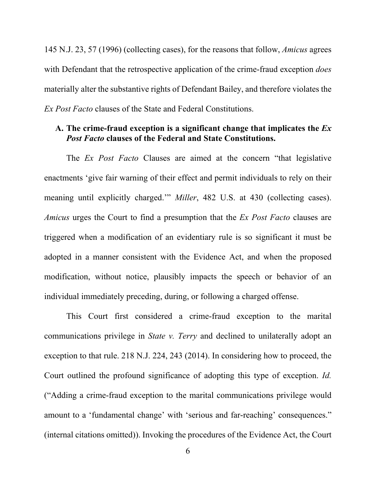145 N.J. 23, 57 (1996) (collecting cases), for the reasons that follow, *Amicus* agrees with Defendant that the retrospective application of the crime-fraud exception *does*  materially alter the substantive rights of Defendant Bailey, and therefore violates the *Ex Post Facto* clauses of the State and Federal Constitutions.

### **A. The crime-fraud exception is a significant change that implicates the** *Ex Post Facto* **clauses of the Federal and State Constitutions.**

The *Ex Post Facto* Clauses are aimed at the concern "that legislative enactments 'give fair warning of their effect and permit individuals to rely on their meaning until explicitly charged.'" *Miller*, 482 U.S. at 430 (collecting cases). *Amicus* urges the Court to find a presumption that the *Ex Post Facto* clauses are triggered when a modification of an evidentiary rule is so significant it must be adopted in a manner consistent with the Evidence Act, and when the proposed modification, without notice, plausibly impacts the speech or behavior of an individual immediately preceding, during, or following a charged offense.

This Court first considered a crime-fraud exception to the marital communications privilege in *State v. Terry* and declined to unilaterally adopt an exception to that rule. 218 N.J. 224, 243 (2014). In considering how to proceed, the Court outlined the profound significance of adopting this type of exception. *Id.* ("Adding a crime-fraud exception to the marital communications privilege would amount to a 'fundamental change' with 'serious and far-reaching' consequences." (internal citations omitted)). Invoking the procedures of the Evidence Act, the Court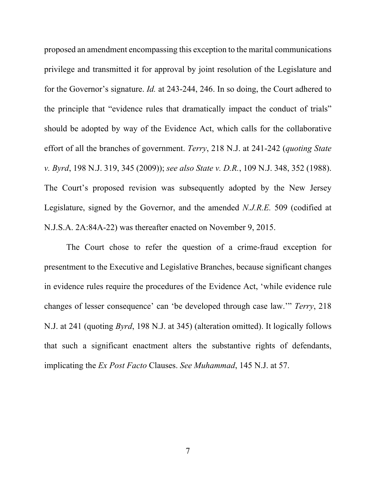proposed an amendment encompassing this exception to the marital communications privilege and transmitted it for approval by joint resolution of the Legislature and for the Governor's signature. *Id.* at 243-244, 246. In so doing, the Court adhered to the principle that "evidence rules that dramatically impact the conduct of trials" should be adopted by way of the Evidence Act, which calls for the collaborative effort of all the branches of government. *Terry*, 218 N.J. at 241-242 (*quoting State v. Byrd*, 198 N.J. 319, 345 (2009)); *see also State v. D.R.*, 109 N.J. 348, 352 (1988). The Court's proposed revision was subsequently adopted by the New Jersey Legislature, signed by the Governor, and the amended *N.J.R.E.* 509 (codified at N.J.S.A. 2A:84A-22) was thereafter enacted on November 9, 2015.

The Court chose to refer the question of a crime-fraud exception for presentment to the Executive and Legislative Branches, because significant changes in evidence rules require the procedures of the Evidence Act, 'while evidence rule changes of lesser consequence' can 'be developed through case law.'" *Terry*, 218 N.J. at 241 (quoting *Byrd*, 198 N.J. at 345) (alteration omitted). It logically follows that such a significant enactment alters the substantive rights of defendants, implicating the *Ex Post Facto* Clauses. *See Muhammad*, 145 N.J. at 57.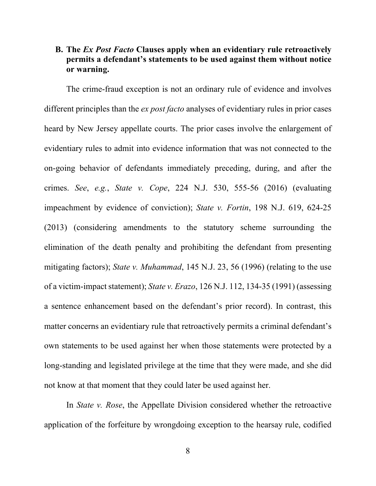## **B. The** *Ex Post Facto* **Clauses apply when an evidentiary rule retroactively permits a defendant's statements to be used against them without notice or warning.**

The crime-fraud exception is not an ordinary rule of evidence and involves different principles than the *ex post facto* analyses of evidentiary rules in prior cases heard by New Jersey appellate courts. The prior cases involve the enlargement of evidentiary rules to admit into evidence information that was not connected to the on-going behavior of defendants immediately preceding, during, and after the crimes. *See*, *e.g.*, *State v. Cope*, 224 N.J. 530, 555-56 (2016) (evaluating impeachment by evidence of conviction); *State v. Fortin*, 198 N.J. 619, 624-25 (2013) (considering amendments to the statutory scheme surrounding the elimination of the death penalty and prohibiting the defendant from presenting mitigating factors); *State v. Muhammad*, 145 N.J. 23, 56 (1996) (relating to the use of a victim-impact statement); *State v. Erazo*, 126 N.J. 112, 134-35 (1991) (assessing a sentence enhancement based on the defendant's prior record). In contrast, this matter concerns an evidentiary rule that retroactively permits a criminal defendant's own statements to be used against her when those statements were protected by a long-standing and legislated privilege at the time that they were made, and she did not know at that moment that they could later be used against her.

In *State v. Rose*, the Appellate Division considered whether the retroactive application of the forfeiture by wrongdoing exception to the hearsay rule, codified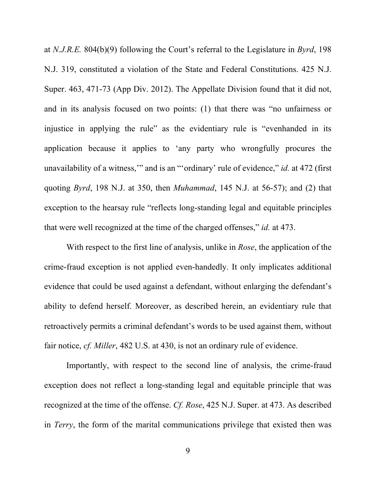at *N.J.R.E.* 804(b)(9) following the Court's referral to the Legislature in *Byrd*, 198 N.J. 319, constituted a violation of the State and Federal Constitutions. 425 N.J. Super. 463, 471-73 (App Div. 2012). The Appellate Division found that it did not, and in its analysis focused on two points: (1) that there was "no unfairness or injustice in applying the rule" as the evidentiary rule is "evenhanded in its application because it applies to 'any party who wrongfully procures the unavailability of a witness,'" and is an "'ordinary' rule of evidence," *id.* at 472 (first quoting *Byrd*, 198 N.J. at 350, then *Muhammad*, 145 N.J. at 56-57); and (2) that exception to the hearsay rule "reflects long-standing legal and equitable principles that were well recognized at the time of the charged offenses," *id.* at 473.

With respect to the first line of analysis, unlike in *Rose*, the application of the crime-fraud exception is not applied even-handedly. It only implicates additional evidence that could be used against a defendant, without enlarging the defendant's ability to defend herself. Moreover, as described herein, an evidentiary rule that retroactively permits a criminal defendant's words to be used against them, without fair notice, *cf. Miller*, 482 U.S. at 430, is not an ordinary rule of evidence.

Importantly, with respect to the second line of analysis, the crime-fraud exception does not reflect a long-standing legal and equitable principle that was recognized at the time of the offense. *Cf. Rose*, 425 N.J. Super. at 473. As described in *Terry*, the form of the marital communications privilege that existed then was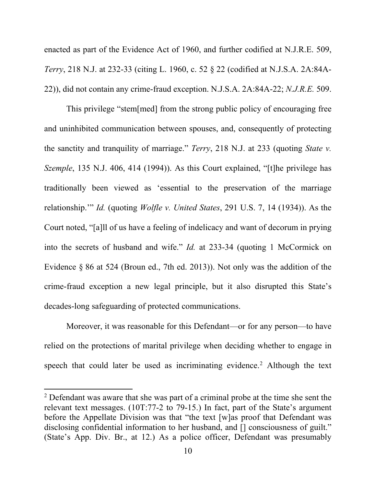enacted as part of the Evidence Act of 1960, and further codified at N.J.R.E. 509, *Terry*, 218 N.J. at 232-33 (citing L. 1960, c. 52 § 22 (codified at N.J.S.A. 2A:84A-22)), did not contain any crime-fraud exception. N.J.S.A. 2A:84A-22; *N.J.R.E.* 509.

This privilege "stem[med] from the strong public policy of encouraging free and uninhibited communication between spouses, and, consequently of protecting the sanctity and tranquility of marriage." *Terry*, 218 N.J. at 233 (quoting *State v. Szemple*, 135 N.J. 406, 414 (1994)). As this Court explained, "[t]he privilege has traditionally been viewed as 'essential to the preservation of the marriage relationship.'" *Id.* (quoting *Wolfle v. United States*, 291 U.S. 7, 14 (1934)). As the Court noted, "[a]ll of us have a feeling of indelicacy and want of decorum in prying into the secrets of husband and wife." *Id.* at 233-34 (quoting 1 McCormick on Evidence § 86 at 524 (Broun ed., 7th ed. 2013)). Not only was the addition of the crime-fraud exception a new legal principle, but it also disrupted this State's decades-long safeguarding of protected communications.

Moreover, it was reasonable for this Defendant—or for any person—to have relied on the protections of marital privilege when deciding whether to engage in speech that could later be used as incriminating evidence.<sup>[2](#page-9-0)</sup> Although the text

<span id="page-9-0"></span><sup>&</sup>lt;sup>2</sup> Defendant was aware that she was part of a criminal probe at the time she sent the relevant text messages. (10T:77-2 to 79-15.) In fact, part of the State's argument before the Appellate Division was that "the text [w]as proof that Defendant was disclosing confidential information to her husband, and [] consciousness of guilt." (State's App. Div. Br., at 12.) As a police officer, Defendant was presumably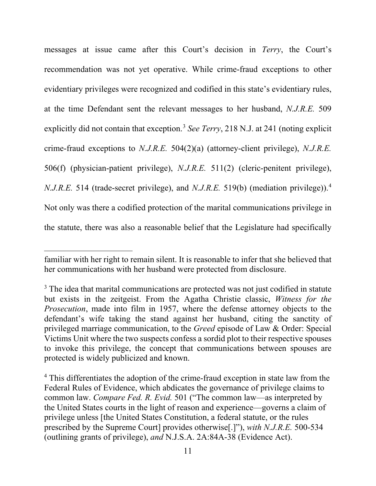messages at issue came after this Court's decision in *Terry*, the Court's recommendation was not yet operative. While crime-fraud exceptions to other evidentiary privileges were recognized and codified in this state's evidentiary rules, at the time Defendant sent the relevant messages to her husband, *N.J.R.E.* 509 explicitly did not contain that exception.<sup>[3](#page-10-0)</sup> *See Terry*, 218 N.J. at 241 (noting explicit crime-fraud exceptions to *N.J.R.E.* 504(2)(a) (attorney-client privilege), *N.J.R.E.* 506(f) (physician-patient privilege), *N.J.R.E.* 511(2) (cleric-penitent privilege), *N.J.R.E.* 51[4](#page-10-1) (trade-secret privilege), and *N.J.R.E.* 519(b) (mediation privilege)).<sup>4</sup> Not only was there a codified protection of the marital communications privilege in the statute, there was also a reasonable belief that the Legislature had specifically

familiar with her right to remain silent. It is reasonable to infer that she believed that her communications with her husband were protected from disclosure.

<span id="page-10-0"></span><sup>&</sup>lt;sup>3</sup> The idea that marital communications are protected was not just codified in statute but exists in the zeitgeist. From the Agatha Christie classic, *Witness for the Prosecution*, made into film in 1957, where the defense attorney objects to the defendant's wife taking the stand against her husband, citing the sanctity of privileged marriage communication, to the *Greed* episode of Law & Order: Special Victims Unit where the two suspects confess a sordid plot to their respective spouses to invoke this privilege, the concept that communications between spouses are protected is widely publicized and known.

<span id="page-10-1"></span><sup>&</sup>lt;sup>4</sup> This differentiates the adoption of the crime-fraud exception in state law from the Federal Rules of Evidence, which abdicates the governance of privilege claims to common law. *Compare Fed. R. Evid.* 501 ("The common law—as interpreted by the United States courts in the light of reason and experience—governs a claim of privilege unless [the United States Constitution, a federal statute, or the rules prescribed by the Supreme Court] provides otherwise[.]"), *with N.J.R.E.* 500-534 (outlining grants of privilege), *and* N.J.S.A. 2A:84A-38 (Evidence Act).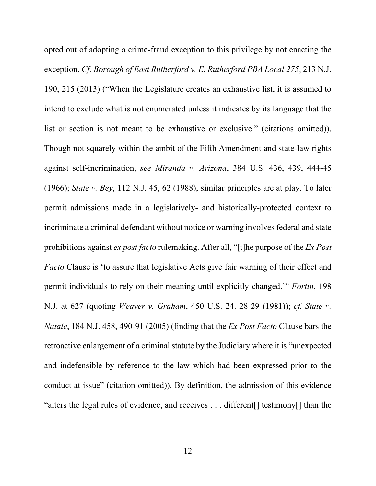opted out of adopting a crime-fraud exception to this privilege by not enacting the exception. *Cf. Borough of East Rutherford v. E. Rutherford PBA Local 275*, 213 N.J. 190, 215 (2013) ("When the Legislature creates an exhaustive list, it is assumed to intend to exclude what is not enumerated unless it indicates by its language that the list or section is not meant to be exhaustive or exclusive." (citations omitted)). Though not squarely within the ambit of the Fifth Amendment and state-law rights against self-incrimination, *see Miranda v. Arizona*, 384 U.S. 436, 439, 444-45 (1966); *State v. Bey*, 112 N.J. 45, 62 (1988), similar principles are at play. To later permit admissions made in a legislatively- and historically-protected context to incriminate a criminal defendant without notice or warning involves federal and state prohibitions against *ex post facto* rulemaking. After all, "[t]he purpose of the *Ex Post Facto* Clause is 'to assure that legislative Acts give fair warning of their effect and permit individuals to rely on their meaning until explicitly changed.'" *Fortin*, 198 N.J. at 627 (quoting *Weaver v. Graham*, 450 U.S. 24. 28-29 (1981)); *cf. State v. Natale*, 184 N.J. 458, 490-91 (2005) (finding that the *Ex Post Facto* Clause bars the retroactive enlargement of a criminal statute by the Judiciary where it is "unexpected and indefensible by reference to the law which had been expressed prior to the conduct at issue" (citation omitted)). By definition, the admission of this evidence "alters the legal rules of evidence, and receives . . . different[] testimony[] than the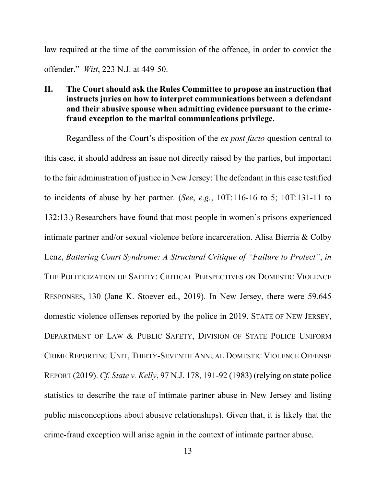law required at the time of the commission of the offence, in order to convict the offender." *Witt*, 223 N.J. at 449-50.

**II. The Court should ask the Rules Committee to propose an instruction that instructs juries on how to interpret communications between a defendant and their abusive spouse when admitting evidence pursuant to the crimefraud exception to the marital communications privilege.** 

Regardless of the Court's disposition of the *ex post facto* question central to this case, it should address an issue not directly raised by the parties, but important to the fair administration of justice in New Jersey: The defendant in this case testified to incidents of abuse by her partner. (*See*, *e.g.*, 10T:116-16 to 5; 10T:131-11 to 132:13.) Researchers have found that most people in women's prisons experienced intimate partner and/or sexual violence before incarceration. Alisa Bierria & Colby Lenz, *Battering Court Syndrome: A Structural Critique of "Failure to Protect"*, *in*  THE POLITICIZATION OF SAFETY: CRITICAL PERSPECTIVES ON DOMESTIC VIOLENCE RESPONSES, 130 (Jane K. Stoever ed., 2019). In New Jersey, there were 59,645 domestic violence offenses reported by the police in 2019. STATE OF NEW JERSEY, DEPARTMENT OF LAW & PUBLIC SAFETY, DIVISION OF STATE POLICE UNIFORM CRIME REPORTING UNIT, THIRTY-SEVENTH ANNUAL DOMESTIC VIOLENCE OFFENSE REPORT (2019). *Cf. State v. Kelly*, 97 N.J. 178, 191-92 (1983) (relying on state police statistics to describe the rate of intimate partner abuse in New Jersey and listing public misconceptions about abusive relationships). Given that, it is likely that the crime-fraud exception will arise again in the context of intimate partner abuse.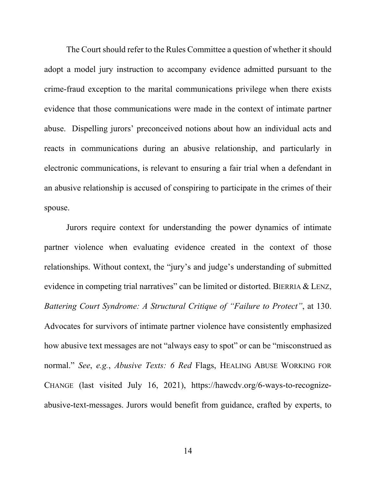The Court should refer to the Rules Committee a question of whether it should adopt a model jury instruction to accompany evidence admitted pursuant to the crime-fraud exception to the marital communications privilege when there exists evidence that those communications were made in the context of intimate partner abuse. Dispelling jurors' preconceived notions about how an individual acts and reacts in communications during an abusive relationship, and particularly in electronic communications, is relevant to ensuring a fair trial when a defendant in an abusive relationship is accused of conspiring to participate in the crimes of their spouse.

Jurors require context for understanding the power dynamics of intimate partner violence when evaluating evidence created in the context of those relationships. Without context, the "jury's and judge's understanding of submitted evidence in competing trial narratives" can be limited or distorted. BIERRIA & LENZ, *Battering Court Syndrome: A Structural Critique of "Failure to Protect"*, at 130. Advocates for survivors of intimate partner violence have consistently emphasized how abusive text messages are not "always easy to spot" or can be "misconstrued as normal." *See*, *e.g.*, *Abusive Texts: 6 Red* Flags, HEALING ABUSE WORKING FOR CHANGE (last visited July 16, 2021), https://hawcdv.org/6-ways-to-recognizeabusive-text-messages. Jurors would benefit from guidance, crafted by experts, to